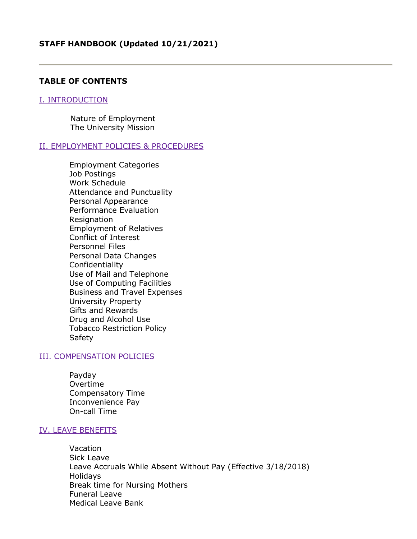### **TABLE OF CONTENTS**

#### I. INTRODUCTION

Nature of Employment The University Mission

#### II. EMPLOYMENT POLICIES & PROCEDURES

Employment Categories Job Postings Work Schedule Attendance and Punctuality Personal Appearance Performance Evaluation **Resignation** Employment of Relatives Conflict of Interest Personnel Files Personal Data Changes Confidentiality Use of Mail and Telephone Use of Computing Facilities Business and Travel Expenses University Property Gifts and Rewards Drug and Alcohol Use Tobacco Restriction Policy **Safety** 

#### III. COMPENSATION POLICIES

Payday Overtime Compensatory Time Inconvenience Pay On-call Time

#### IV. LEAVE BENEFITS

Vacation Sick Leave Leave Accruals While Absent Without Pay (Effective 3/18/2018) Holidays Break time for Nursing Mothers Funeral Leave Medical Leave Bank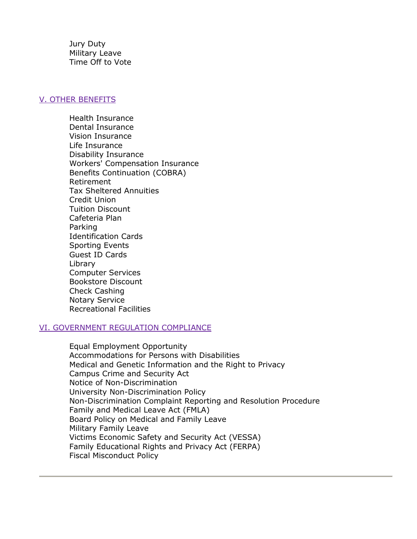Jury Duty Military Leave Time Off to Vote

### V. OTHER BENEFITS

Health Insurance Dental Insurance Vision Insurance Life Insurance Disability Insurance Workers' Compensation Insurance Benefits Continuation (COBRA) Retirement Tax Sheltered Annuities Credit Union Tuition Discount Cafeteria Plan Parking Identification Cards Sporting Events Guest ID Cards Library Computer Services Bookstore Discount Check Cashing Notary Service Recreational Facilities

### VI. GOVERNMENT REGULATION COMPLIANCE

Equal Employment Opportunity Accommodations for Persons with Disabilities Medical and Genetic Information and the Right to Privacy Campus Crime and Security Act Notice of Non-Discrimination University Non-Discrimination Policy Non-Discrimination Complaint Reporting and Resolution Procedure Family and Medical Leave Act (FMLA) Board Policy on Medical and Family Leave Military Family Leave Victims Economic Safety and Security Act (VESSA) Family Educational Rights and Privacy Act (FERPA) Fiscal Misconduct Policy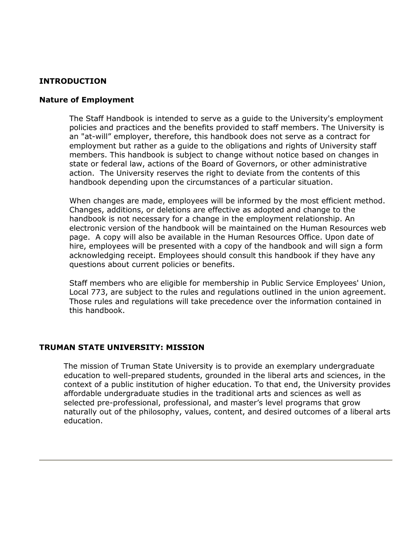# **INTRODUCTION**

#### **Nature of Employment**

The Staff Handbook is intended to serve as a guide to the University's employment policies and practices and the benefits provided to staff members. The University is an "at-will" employer, therefore, this handbook does not serve as a contract for employment but rather as a guide to the obligations and rights of University staff members. This handbook is subject to change without notice based on changes in state or federal law, actions of the Board of Governors, or other administrative action. The University reserves the right to deviate from the contents of this handbook depending upon the circumstances of a particular situation.

When changes are made, employees will be informed by the most efficient method. Changes, additions, or deletions are effective as adopted and change to the handbook is not necessary for a change in the employment relationship. An electronic version of the handbook will be maintained on the Human Resources web page. A copy will also be available in the Human Resources Office. Upon date of hire, employees will be presented with a copy of the handbook and will sign a form acknowledging receipt. Employees should consult this handbook if they have any questions about current policies or benefits.

Staff members who are eligible for membership in Public Service Employees' Union, Local 773, are subject to the rules and regulations outlined in the union agreement. Those rules and regulations will take precedence over the information contained in this handbook.

#### **TRUMAN STATE UNIVERSITY: MISSION**

The mission of Truman State University is to provide an exemplary undergraduate education to well-prepared students, grounded in the liberal arts and sciences, in the context of a public institution of higher education. To that end, the University provides affordable undergraduate studies in the traditional arts and sciences as well as selected pre-professional, professional, and master's level programs that grow naturally out of the philosophy, values, content, and desired outcomes of a liberal arts education.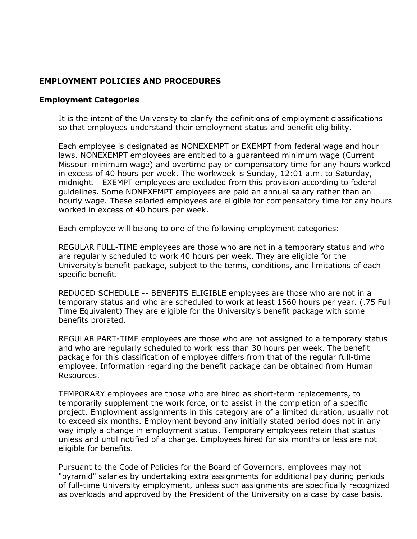# **EMPLOYMENT POLICIES AND PROCEDURES**

## **Employment Categories**

It is the intent of the University to clarify the definitions of employment classifications so that employees understand their employment status and benefit eligibility.

Each employee is designated as NONEXEMPT or EXEMPT from federal wage and hour laws. NONEXEMPT employees are entitled to a guaranteed minimum wage (Current Missouri minimum wage) and overtime pay or compensatory time for any hours worked in excess of 40 hours per week. The workweek is Sunday, 12:01 a.m. to Saturday, midnight. EXEMPT employees are excluded from this provision according to federal guidelines. Some NONEXEMPT employees are paid an annual salary rather than an hourly wage. These salaried employees are eligible for compensatory time for any hours worked in excess of 40 hours per week.

Each employee will belong to one of the following employment categories:

REGULAR FULL-TIME employees are those who are not in a temporary status and who are regularly scheduled to work 40 hours per week. They are eligible for the University's benefit package, subject to the terms, conditions, and limitations of each specific benefit.

REDUCED SCHEDULE -- BENEFITS ELIGIBLE employees are those who are not in a temporary status and who are scheduled to work at least 1560 hours per year. (.75 Full Time Equivalent) They are eligible for the University's benefit package with some benefits prorated.

REGULAR PART-TIME employees are those who are not assigned to a temporary status and who are regularly scheduled to work less than 30 hours per week. The benefit package for this classification of employee differs from that of the regular full-time employee. Information regarding the benefit package can be obtained from Human Resources.

TEMPORARY employees are those who are hired as short-term replacements, to temporarily supplement the work force, or to assist in the completion of a specific project. Employment assignments in this category are of a limited duration, usually not to exceed six months. Employment beyond any initially stated period does not in any way imply a change in employment status. Temporary employees retain that status unless and until notified of a change. Employees hired for six months or less are not eligible for benefits.

Pursuant to the Code of Policies for the Board of Governors, employees may not "pyramid" salaries by undertaking extra assignments for additional pay during periods of full-time University employment, unless such assignments are specifically recognized as overloads and approved by the President of the University on a case by case basis.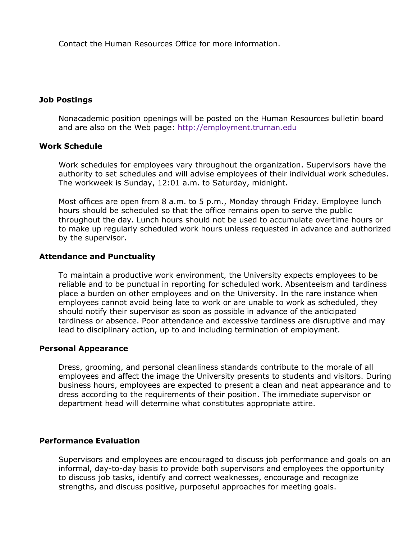Contact the Human Resources Office for more information.

## **Job Postings**

Nonacademic position openings will be posted on the Human Resources bulletin board and are also on the Web page: [http://employment.truman.edu](http://employment.truman.edu/)

### **Work Schedule**

Work schedules for employees vary throughout the organization. Supervisors have the authority to set schedules and will advise employees of their individual work schedules. The workweek is Sunday, 12:01 a.m. to Saturday, midnight.

Most offices are open from 8 a.m. to 5 p.m., Monday through Friday. Employee lunch hours should be scheduled so that the office remains open to serve the public throughout the day. Lunch hours should not be used to accumulate overtime hours or to make up regularly scheduled work hours unless requested in advance and authorized by the supervisor.

## **Attendance and Punctuality**

To maintain a productive work environment, the University expects employees to be reliable and to be punctual in reporting for scheduled work. Absenteeism and tardiness place a burden on other employees and on the University. In the rare instance when employees cannot avoid being late to work or are unable to work as scheduled, they should notify their supervisor as soon as possible in advance of the anticipated tardiness or absence. Poor attendance and excessive tardiness are disruptive and may lead to disciplinary action, up to and including termination of employment.

### **Personal Appearance**

Dress, grooming, and personal cleanliness standards contribute to the morale of all employees and affect the image the University presents to students and visitors. During business hours, employees are expected to present a clean and neat appearance and to dress according to the requirements of their position. The immediate supervisor or department head will determine what constitutes appropriate attire.

### **Performance Evaluation**

Supervisors and employees are encouraged to discuss job performance and goals on an informal, day-to-day basis to provide both supervisors and employees the opportunity to discuss job tasks, identify and correct weaknesses, encourage and recognize strengths, and discuss positive, purposeful approaches for meeting goals.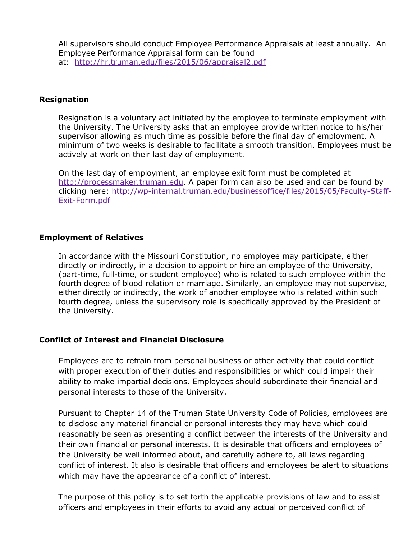All supervisors should conduct Employee Performance Appraisals at least annually. An Employee Performance Appraisal form can be found at: <http://hr.truman.edu/files/2015/06/appraisal2.pdf>

## **Resignation**

Resignation is a voluntary act initiated by the employee to terminate employment with the University. The University asks that an employee provide written notice to his/her supervisor allowing as much time as possible before the final day of employment. A minimum of two weeks is desirable to facilitate a smooth transition. Employees must be actively at work on their last day of employment.

On the last day of employment, an employee exit form must be completed at [http://processmaker.truman.edu.](http://processmaker.truman.edu/) A paper form can also be used and can be found by clicking here: [http://wp-internal.truman.edu/businessoffice/files/2015/05/Faculty-Staff-](http://wp-internal.truman.edu/businessoffice/files/2015/05/Faculty-Staff-Exit-Form.pdf)[Exit-Form.pdf](http://wp-internal.truman.edu/businessoffice/files/2015/05/Faculty-Staff-Exit-Form.pdf)

## **Employment of Relatives**

In accordance with the Missouri Constitution, no employee may participate, either directly or indirectly, in a decision to appoint or hire an employee of the University, (part-time, full-time, or student employee) who is related to such employee within the fourth degree of blood relation or marriage. Similarly, an employee may not supervise, either directly or indirectly, the work of another employee who is related within such fourth degree, unless the supervisory role is specifically approved by the President of the University.

### **Conflict of Interest and Financial Disclosure**

Employees are to refrain from personal business or other activity that could conflict with proper execution of their duties and responsibilities or which could impair their ability to make impartial decisions. Employees should subordinate their financial and personal interests to those of the University.

Pursuant to Chapter 14 of the Truman State University Code of Policies, employees are to disclose any material financial or personal interests they may have which could reasonably be seen as presenting a conflict between the interests of the University and their own financial or personal interests. It is desirable that officers and employees of the University be well informed about, and carefully adhere to, all laws regarding conflict of interest. It also is desirable that officers and employees be alert to situations which may have the appearance of a conflict of interest.

The purpose of this policy is to set forth the applicable provisions of law and to assist officers and employees in their efforts to avoid any actual or perceived conflict of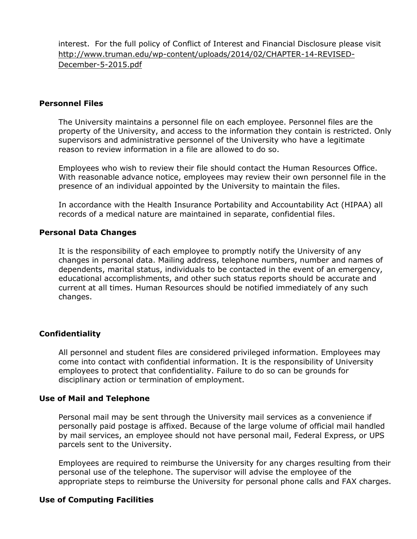interest. For the full policy of Conflict of Interest and Financial Disclosure please visit [http://www.truman.edu/wp-content/uploads/2014/02/CHAPTER-14-REVISED-](http://www.truman.edu/wp-content/uploads/2014/02/CHAPTER-14-REVISED-December-5-2015.pdf)[December-5-2015.pdf](http://www.truman.edu/wp-content/uploads/2014/02/CHAPTER-14-REVISED-December-5-2015.pdf)

### **Personnel Files**

The University maintains a personnel file on each employee. Personnel files are the property of the University, and access to the information they contain is restricted. Only supervisors and administrative personnel of the University who have a legitimate reason to review information in a file are allowed to do so.

Employees who wish to review their file should contact the Human Resources Office. With reasonable advance notice, employees may review their own personnel file in the presence of an individual appointed by the University to maintain the files.

In accordance with the Health Insurance Portability and Accountability Act (HIPAA) all records of a medical nature are maintained in separate, confidential files.

#### **Personal Data Changes**

It is the responsibility of each employee to promptly notify the University of any changes in personal data. Mailing address, telephone numbers, number and names of dependents, marital status, individuals to be contacted in the event of an emergency, educational accomplishments, and other such status reports should be accurate and current at all times. Human Resources should be notified immediately of any such changes.

### **Confidentiality**

All personnel and student files are considered privileged information. Employees may come into contact with confidential information. It is the responsibility of University employees to protect that confidentiality. Failure to do so can be grounds for disciplinary action or termination of employment.

#### **Use of Mail and Telephone**

Personal mail may be sent through the University mail services as a convenience if personally paid postage is affixed. Because of the large volume of official mail handled by mail services, an employee should not have personal mail, Federal Express, or UPS parcels sent to the University.

Employees are required to reimburse the University for any charges resulting from their personal use of the telephone. The supervisor will advise the employee of the appropriate steps to reimburse the University for personal phone calls and FAX charges.

### **Use of Computing Facilities**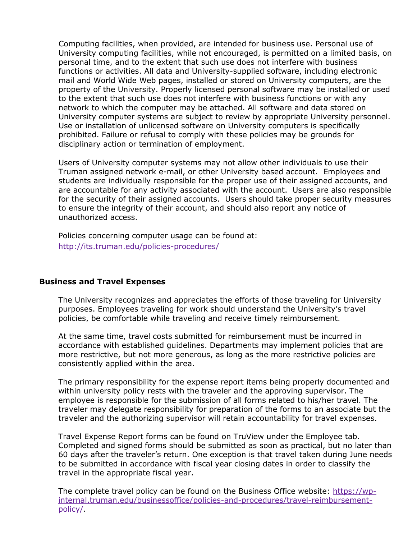Computing facilities, when provided, are intended for business use. Personal use of University computing facilities, while not encouraged, is permitted on a limited basis, on personal time, and to the extent that such use does not interfere with business functions or activities. All data and University-supplied software, including electronic mail and World Wide Web pages, installed or stored on University computers, are the property of the University. Properly licensed personal software may be installed or used to the extent that such use does not interfere with business functions or with any network to which the computer may be attached. All software and data stored on University computer systems are subject to review by appropriate University personnel. Use or installation of unlicensed software on University computers is specifically prohibited. Failure or refusal to comply with these policies may be grounds for disciplinary action or termination of employment.

Users of University computer systems may not allow other individuals to use their Truman assigned network e-mail, or other University based account. Employees and students are individually responsible for the proper use of their assigned accounts, and are accountable for any activity associated with the account. Users are also responsible for the security of their assigned accounts. Users should take proper security measures to ensure the integrity of their account, and should also report any notice of unauthorized access.

Policies concerning computer usage can be found at: <http://its.truman.edu/policies-procedures/>

### **Business and Travel Expenses**

The University recognizes and appreciates the efforts of those traveling for University purposes. Employees traveling for work should understand the University's travel policies, be comfortable while traveling and receive timely reimbursement.

At the same time, travel costs submitted for reimbursement must be incurred in accordance with established guidelines. Departments may implement policies that are more restrictive, but not more generous, as long as the more restrictive policies are consistently applied within the area.

The primary responsibility for the expense report items being properly documented and within university policy rests with the traveler and the approving supervisor. The employee is responsible for the submission of all forms related to his/her travel. The traveler may delegate responsibility for preparation of the forms to an associate but the traveler and the authorizing supervisor will retain accountability for travel expenses.

Travel Expense Report forms can be found on TruView under the Employee tab. Completed and signed forms should be submitted as soon as practical, but no later than 60 days after the traveler's return. One exception is that travel taken during June needs to be submitted in accordance with fiscal year closing dates in order to classify the travel in the appropriate fiscal year.

The complete travel policy can be found on the Business Office website: [https://wp](https://wp-internal.truman.edu/businessoffice/policies-and-procedures/travel-reimbursement-policy/)[internal.truman.edu/businessoffice/policies-and-procedures/travel-reimbursement](https://wp-internal.truman.edu/businessoffice/policies-and-procedures/travel-reimbursement-policy/)[policy/.](https://wp-internal.truman.edu/businessoffice/policies-and-procedures/travel-reimbursement-policy/)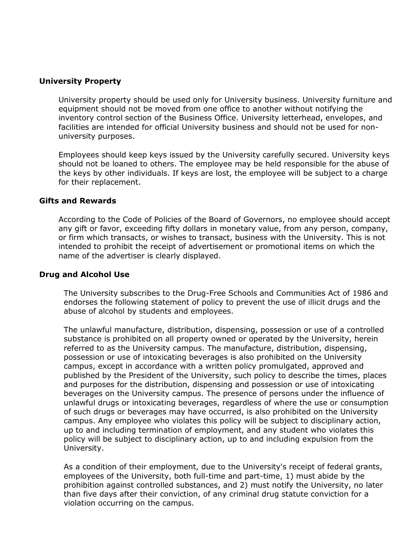## **University Property**

University property should be used only for University business. University furniture and equipment should not be moved from one office to another without notifying the inventory control section of the Business Office. University letterhead, envelopes, and facilities are intended for official University business and should not be used for nonuniversity purposes.

Employees should keep keys issued by the University carefully secured. University keys should not be loaned to others. The employee may be held responsible for the abuse of the keys by other individuals. If keys are lost, the employee will be subject to a charge for their replacement.

### **Gifts and Rewards**

According to the Code of Policies of the Board of Governors, no employee should accept any gift or favor, exceeding fifty dollars in monetary value, from any person, company, or firm which transacts, or wishes to transact, business with the University. This is not intended to prohibit the receipt of advertisement or promotional items on which the name of the advertiser is clearly displayed.

#### **Drug and Alcohol Use**

The University subscribes to the Drug-Free Schools and Communities Act of 1986 and endorses the following statement of policy to prevent the use of illicit drugs and the abuse of alcohol by students and employees.

The unlawful manufacture, distribution, dispensing, possession or use of a controlled substance is prohibited on all property owned or operated by the University, herein referred to as the University campus. The manufacture, distribution, dispensing, possession or use of intoxicating beverages is also prohibited on the University campus, except in accordance with a written policy promulgated, approved and published by the President of the University, such policy to describe the times, places and purposes for the distribution, dispensing and possession or use of intoxicating beverages on the University campus. The presence of persons under the influence of unlawful drugs or intoxicating beverages, regardless of where the use or consumption of such drugs or beverages may have occurred, is also prohibited on the University campus. Any employee who violates this policy will be subject to disciplinary action, up to and including termination of employment, and any student who violates this policy will be subject to disciplinary action, up to and including expulsion from the University.

As a condition of their employment, due to the University's receipt of federal grants, employees of the University, both full-time and part-time, 1) must abide by the prohibition against controlled substances, and 2) must notify the University, no later than five days after their conviction, of any criminal drug statute conviction for a violation occurring on the campus.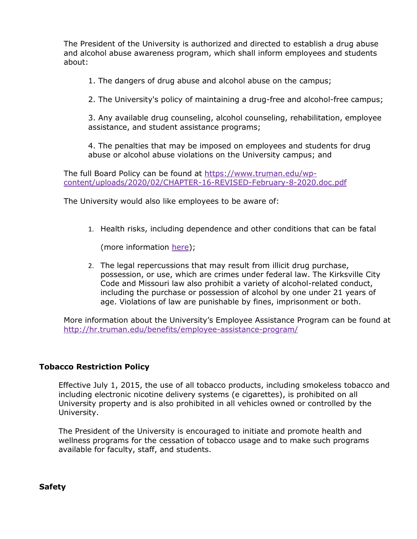The President of the University is authorized and directed to establish a drug abuse and alcohol abuse awareness program, which shall inform employees and students about:

1. The dangers of drug abuse and alcohol abuse on the campus;

2. The University's policy of maintaining a drug-free and alcohol-free campus;

3. Any available drug counseling, alcohol counseling, rehabilitation, employee assistance, and student assistance programs;

4. The penalties that may be imposed on employees and students for drug abuse or alcohol abuse violations on the University campus; and

The full Board Policy can be found at [https://www.truman.edu/wp](https://www.truman.edu/wp-content/uploads/2020/02/CHAPTER-16-REVISED-February-8-2020.doc.pdf)[content/uploads/2020/02/CHAPTER-16-REVISED-February-8-2020.doc.pdf](https://www.truman.edu/wp-content/uploads/2020/02/CHAPTER-16-REVISED-February-8-2020.doc.pdf)

The University would also like employees to be aware of:

1. Health risks, including dependence and other conditions that can be fatal

(more information [here\)](https://www.drugabuse.gov/publications/drugs-brains-behavior-science-addiction/addiction-health);

2. The legal repercussions that may result from illicit drug purchase, possession, or use, which are crimes under federal law. The Kirksville City Code and Missouri law also prohibit a variety of alcohol-related conduct, including the purchase or possession of alcohol by one under 21 years of age. Violations of law are punishable by fines, imprisonment or both.

More information about the University's Employee Assistance Program can be found at <http://hr.truman.edu/benefits/employee-assistance-program/>

# **Tobacco Restriction Policy**

Effective July 1, 2015, the use of all tobacco products, including smokeless tobacco and including electronic nicotine delivery systems (e cigarettes), is prohibited on all University property and is also prohibited in all vehicles owned or controlled by the University.

The President of the University is encouraged to initiate and promote health and wellness programs for the cessation of tobacco usage and to make such programs available for faculty, staff, and students.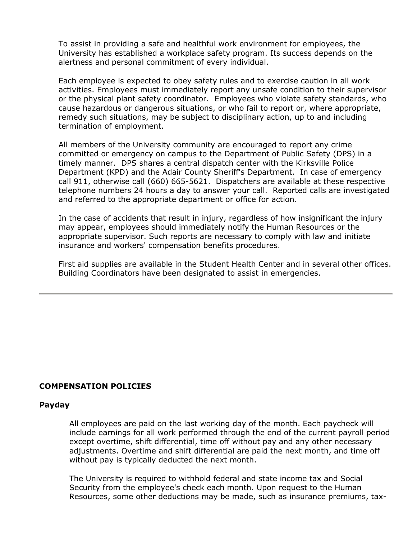To assist in providing a safe and healthful work environment for employees, the University has established a workplace safety program. Its success depends on the alertness and personal commitment of every individual.

Each employee is expected to obey safety rules and to exercise caution in all work activities. Employees must immediately report any unsafe condition to their supervisor or the physical plant safety coordinator. Employees who violate safety standards, who cause hazardous or dangerous situations, or who fail to report or, where appropriate, remedy such situations, may be subject to disciplinary action, up to and including termination of employment.

All members of the University community are encouraged to report any crime committed or emergency on campus to the Department of Public Safety (DPS) in a timely manner. DPS shares a central dispatch center with the Kirksville Police Department (KPD) and the Adair County Sheriff's Department. In case of emergency call 911, otherwise call (660) 665-5621. Dispatchers are available at these respective telephone numbers 24 hours a day to answer your call. Reported calls are investigated and referred to the appropriate department or office for action.

In the case of accidents that result in injury, regardless of how insignificant the injury may appear, employees should immediately notify the Human Resources or the appropriate supervisor. Such reports are necessary to comply with law and initiate insurance and workers' compensation benefits procedures.

First aid supplies are available in the Student Health Center and in several other offices. Building Coordinators have been designated to assist in emergencies.

# **COMPENSATION POLICIES**

### **Payday**

All employees are paid on the last working day of the month. Each paycheck will include earnings for all work performed through the end of the current payroll period except overtime, shift differential, time off without pay and any other necessary adjustments. Overtime and shift differential are paid the next month, and time off without pay is typically deducted the next month.

The University is required to withhold federal and state income tax and Social Security from the employee's check each month. Upon request to the Human Resources, some other deductions may be made, such as insurance premiums, tax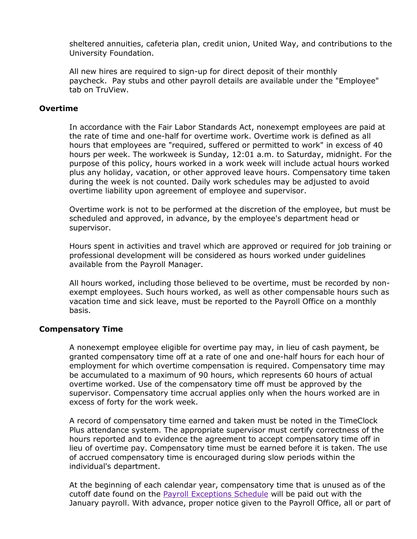sheltered annuities, cafeteria plan, credit union, United Way, and contributions to the University Foundation.

All new hires are required to sign-up for direct deposit of their monthly paycheck. Pay stubs and other payroll details are available under the "Employee" tab on TruView.

## **Overtime**

In accordance with the Fair Labor Standards Act, nonexempt employees are paid at the rate of time and one-half for overtime work. Overtime work is defined as all hours that employees are "required, suffered or permitted to work" in excess of 40 hours per week. The workweek is Sunday, 12:01 a.m. to Saturday, midnight. For the purpose of this policy, hours worked in a work week will include actual hours worked plus any holiday, vacation, or other approved leave hours. Compensatory time taken during the week is not counted. Daily work schedules may be adjusted to avoid overtime liability upon agreement of employee and supervisor.

Overtime work is not to be performed at the discretion of the employee, but must be scheduled and approved, in advance, by the employee's department head or supervisor.

Hours spent in activities and travel which are approved or required for job training or professional development will be considered as hours worked under guidelines available from the Payroll Manager.

All hours worked, including those believed to be overtime, must be recorded by nonexempt employees. Such hours worked, as well as other compensable hours such as vacation time and sick leave, must be reported to the Payroll Office on a monthly basis.

### **Compensatory Time**

A nonexempt employee eligible for overtime pay may, in lieu of cash payment, be granted compensatory time off at a rate of one and one-half hours for each hour of employment for which overtime compensation is required. Compensatory time may be accumulated to a maximum of 90 hours, which represents 60 hours of actual overtime worked. Use of the compensatory time off must be approved by the supervisor. Compensatory time accrual applies only when the hours worked are in excess of forty for the work week.

A record of compensatory time earned and taken must be noted in the TimeClock Plus attendance system. The appropriate supervisor must certify correctness of the hours reported and to evidence the agreement to accept compensatory time off in lieu of overtime pay. Compensatory time must be earned before it is taken. The use of accrued compensatory time is encouraged during slow periods within the individual's department.

At the beginning of each calendar year, compensatory time that is unused as of the cutoff date found on the [Payroll Exceptions Schedule](https://wp-internal.truman.edu/businessoffice/payroll/staff-timeclock-exceptions-schedule/) will be paid out with the January payroll. With advance, proper notice given to the Payroll Office, all or part of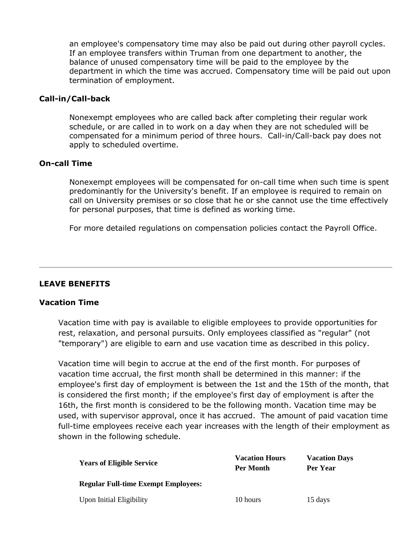an employee's compensatory time may also be paid out during other payroll cycles. If an employee transfers within Truman from one department to another, the balance of unused compensatory time will be paid to the employee by the department in which the time was accrued. Compensatory time will be paid out upon termination of employment.

## **Call-in/Call-back**

Nonexempt employees who are called back after completing their regular work schedule, or are called in to work on a day when they are not scheduled will be compensated for a minimum period of three hours. Call-in/Call-back pay does not apply to scheduled overtime.

## **On-call Time**

Nonexempt employees will be compensated for on-call time when such time is spent predominantly for the University's benefit. If an employee is required to remain on call on University premises or so close that he or she cannot use the time effectively for personal purposes, that time is defined as working time.

For more detailed regulations on compensation policies contact the Payroll Office.

# **LEAVE BENEFITS**

# **Vacation Time**

Vacation time with pay is available to eligible employees to provide opportunities for rest, relaxation, and personal pursuits. Only employees classified as "regular" (not "temporary") are eligible to earn and use vacation time as described in this policy.

Vacation time will begin to accrue at the end of the first month. For purposes of vacation time accrual, the first month shall be determined in this manner: if the employee's first day of employment is between the 1st and the 15th of the month, that is considered the first month; if the employee's first day of employment is after the 16th, the first month is considered to be the following month. Vacation time may be used, with supervisor approval, once it has accrued. The amount of paid vacation time full-time employees receive each year increases with the length of their employment as shown in the following schedule.

| <b>Years of Eligible Service</b>           | <b>Vacation Hours</b><br>Per Month | <b>Vacation Days</b><br>Per Year |
|--------------------------------------------|------------------------------------|----------------------------------|
| <b>Regular Full-time Exempt Employees:</b> |                                    |                                  |
| <b>Upon Initial Eligibility</b>            | 10 hours                           | 15 days                          |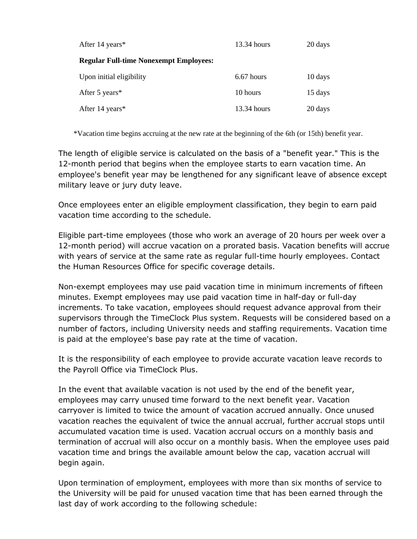| After 14 years*                               | $13.34$ hours | 20 days |
|-----------------------------------------------|---------------|---------|
| <b>Regular Full-time Nonexempt Employees:</b> |               |         |
| Upon initial eligibility                      | $6.67$ hours  | 10 days |
| After 5 years*                                | 10 hours      | 15 days |
| After 14 years*                               | $13.34$ hours | 20 days |

\*Vacation time begins accruing at the new rate at the beginning of the 6th (or 15th) benefit year.

The length of eligible service is calculated on the basis of a "benefit year." This is the 12-month period that begins when the employee starts to earn vacation time. An employee's benefit year may be lengthened for any significant leave of absence except military leave or jury duty leave.

Once employees enter an eligible employment classification, they begin to earn paid vacation time according to the schedule.

Eligible part-time employees (those who work an average of 20 hours per week over a 12-month period) will accrue vacation on a prorated basis. Vacation benefits will accrue with years of service at the same rate as regular full-time hourly employees. Contact the Human Resources Office for specific coverage details.

Non-exempt employees may use paid vacation time in minimum increments of fifteen minutes. Exempt employees may use paid vacation time in half-day or full-day increments. To take vacation, employees should request advance approval from their supervisors through the TimeClock Plus system. Requests will be considered based on a number of factors, including University needs and staffing requirements. Vacation time is paid at the employee's base pay rate at the time of vacation.

It is the responsibility of each employee to provide accurate vacation leave records to the Payroll Office via TimeClock Plus.

In the event that available vacation is not used by the end of the benefit year, employees may carry unused time forward to the next benefit year. Vacation carryover is limited to twice the amount of vacation accrued annually. Once unused vacation reaches the equivalent of twice the annual accrual, further accrual stops until accumulated vacation time is used. Vacation accrual occurs on a monthly basis and termination of accrual will also occur on a monthly basis. When the employee uses paid vacation time and brings the available amount below the cap, vacation accrual will begin again.

Upon termination of employment, employees with more than six months of service to the University will be paid for unused vacation time that has been earned through the last day of work according to the following schedule: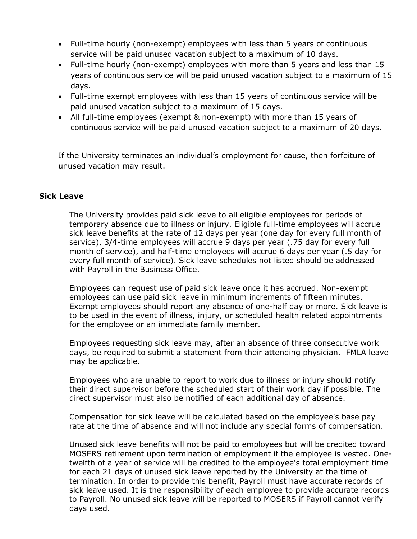- Full-time hourly (non-exempt) employees with less than 5 years of continuous service will be paid unused vacation subject to a maximum of 10 days.
- Full-time hourly (non-exempt) employees with more than 5 years and less than 15 years of continuous service will be paid unused vacation subject to a maximum of 15 days.
- Full-time exempt employees with less than 15 years of continuous service will be paid unused vacation subject to a maximum of 15 days.
- All full-time employees (exempt & non-exempt) with more than 15 years of continuous service will be paid unused vacation subject to a maximum of 20 days.

If the University terminates an individual's employment for cause, then forfeiture of unused vacation may result.

# **Sick Leave**

The University provides paid sick leave to all eligible employees for periods of temporary absence due to illness or injury. Eligible full-time employees will accrue sick leave benefits at the rate of 12 days per year (one day for every full month of service), 3/4-time employees will accrue 9 days per year (.75 day for every full month of service), and half-time employees will accrue 6 days per year (.5 day for every full month of service). Sick leave schedules not listed should be addressed with Payroll in the Business Office.

Employees can request use of paid sick leave once it has accrued. Non-exempt employees can use paid sick leave in minimum increments of fifteen minutes. Exempt employees should report any absence of one-half day or more. Sick leave is to be used in the event of illness, injury, or scheduled health related appointments for the employee or an immediate family member.

Employees requesting sick leave may, after an absence of three consecutive work days, be required to submit a statement from their attending physician. FMLA leave may be applicable.

Employees who are unable to report to work due to illness or injury should notify their direct supervisor before the scheduled start of their work day if possible. The direct supervisor must also be notified of each additional day of absence.

Compensation for sick leave will be calculated based on the employee's base pay rate at the time of absence and will not include any special forms of compensation.

Unused sick leave benefits will not be paid to employees but will be credited toward MOSERS retirement upon termination of employment if the employee is vested. Onetwelfth of a year of service will be credited to the employee's total employment time for each 21 days of unused sick leave reported by the University at the time of termination. In order to provide this benefit, Payroll must have accurate records of sick leave used. It is the responsibility of each employee to provide accurate records to Payroll. No unused sick leave will be reported to MOSERS if Payroll cannot verify days used.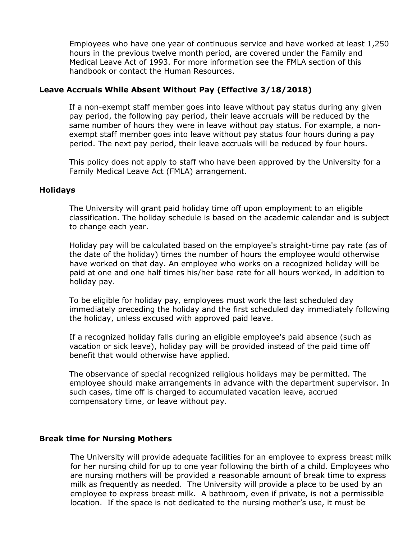Employees who have one year of continuous service and have worked at least 1,250 hours in the previous twelve month period, are covered under the Family and Medical Leave Act of 1993. For more information see the FMLA section of this handbook or contact the Human Resources.

## **Leave Accruals While Absent Without Pay (Effective 3/18/2018)**

If a non-exempt staff member goes into leave without pay status during any given pay period, the following pay period, their leave accruals will be reduced by the same number of hours they were in leave without pay status. For example, a nonexempt staff member goes into leave without pay status four hours during a pay period. The next pay period, their leave accruals will be reduced by four hours.

This policy does not apply to staff who have been approved by the University for a Family Medical Leave Act (FMLA) arrangement.

### **Holidays**

The University will grant paid holiday time off upon employment to an eligible classification. The holiday schedule is based on the academic calendar and is subject to change each year.

Holiday pay will be calculated based on the employee's straight-time pay rate (as of the date of the holiday) times the number of hours the employee would otherwise have worked on that day. An employee who works on a recognized holiday will be paid at one and one half times his/her base rate for all hours worked, in addition to holiday pay.

To be eligible for holiday pay, employees must work the last scheduled day immediately preceding the holiday and the first scheduled day immediately following the holiday, unless excused with approved paid leave.

If a recognized holiday falls during an eligible employee's paid absence (such as vacation or sick leave), holiday pay will be provided instead of the paid time off benefit that would otherwise have applied.

The observance of special recognized religious holidays may be permitted. The employee should make arrangements in advance with the department supervisor. In such cases, time off is charged to accumulated vacation leave, accrued compensatory time, or leave without pay.

### **Break time for Nursing Mothers**

The University will provide adequate facilities for an employee to express breast milk for her nursing child for up to one year following the birth of a child. Employees who are nursing mothers will be provided a reasonable amount of break time to express milk as frequently as needed. The University will provide a place to be used by an employee to express breast milk. A bathroom, even if private, is not a permissible location. If the space is not dedicated to the nursing mother's use, it must be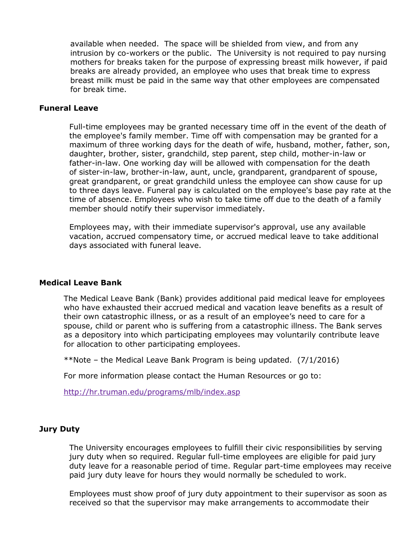available when needed. The space will be shielded from view, and from any intrusion by co-workers or the public. The University is not required to pay nursing mothers for breaks taken for the purpose of expressing breast milk however, if paid breaks are already provided, an employee who uses that break time to express breast milk must be paid in the same way that other employees are compensated for break time.

#### **Funeral Leave**

Full-time employees may be granted necessary time off in the event of the death of the employee's family member. Time off with compensation may be granted for a maximum of three working days for the death of wife, husband, mother, father, son, daughter, brother, sister, grandchild, step parent, step child, mother-in-law or father-in-law. One working day will be allowed with compensation for the death of sister-in-law, brother-in-law, aunt, uncle, grandparent, grandparent of spouse, great grandparent, or great grandchild unless the employee can show cause for up to three days leave. Funeral pay is calculated on the employee's base pay rate at the time of absence. Employees who wish to take time off due to the death of a family member should notify their supervisor immediately.

Employees may, with their immediate supervisor's approval, use any available vacation, accrued compensatory time, or accrued medical leave to take additional days associated with funeral leave.

### **Medical Leave Bank**

The Medical Leave Bank (Bank) provides additional paid medical leave for employees who have exhausted their accrued medical and vacation leave benefits as a result of their own catastrophic illness, or as a result of an employee's need to care for a spouse, child or parent who is suffering from a catastrophic illness. The Bank serves as a depository into which participating employees may voluntarily contribute leave for allocation to other participating employees.

\*\*Note – the Medical Leave Bank Program is being updated. (7/1/2016)

For more information please contact the Human Resources or go to:

<http://hr.truman.edu/programs/mlb/index.asp>

#### **Jury Duty**

The University encourages employees to fulfill their civic responsibilities by serving jury duty when so required. Regular full-time employees are eligible for paid jury duty leave for a reasonable period of time. Regular part-time employees may receive paid jury duty leave for hours they would normally be scheduled to work.

Employees must show proof of jury duty appointment to their supervisor as soon as received so that the supervisor may make arrangements to accommodate their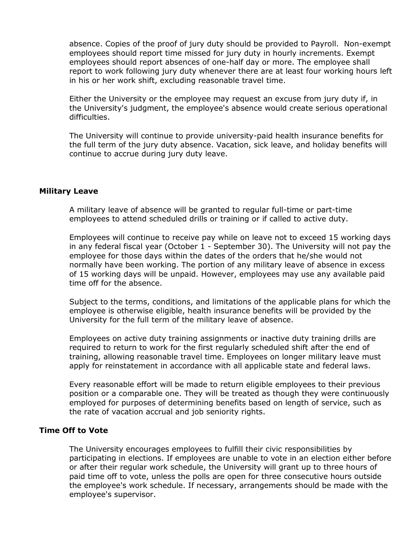absence. Copies of the proof of jury duty should be provided to Payroll. Non-exempt employees should report time missed for jury duty in hourly increments. Exempt employees should report absences of one-half day or more. The employee shall report to work following jury duty whenever there are at least four working hours left in his or her work shift, excluding reasonable travel time.

Either the University or the employee may request an excuse from jury duty if, in the University's judgment, the employee's absence would create serious operational difficulties.

The University will continue to provide university-paid health insurance benefits for the full term of the jury duty absence. Vacation, sick leave, and holiday benefits will continue to accrue during jury duty leave.

### **Military Leave**

A military leave of absence will be granted to regular full-time or part-time employees to attend scheduled drills or training or if called to active duty.

Employees will continue to receive pay while on leave not to exceed 15 working days in any federal fiscal year (October 1 - September 30). The University will not pay the employee for those days within the dates of the orders that he/she would not normally have been working. The portion of any military leave of absence in excess of 15 working days will be unpaid. However, employees may use any available paid time off for the absence.

Subject to the terms, conditions, and limitations of the applicable plans for which the employee is otherwise eligible, health insurance benefits will be provided by the University for the full term of the military leave of absence.

Employees on active duty training assignments or inactive duty training drills are required to return to work for the first regularly scheduled shift after the end of training, allowing reasonable travel time. Employees on longer military leave must apply for reinstatement in accordance with all applicable state and federal laws.

Every reasonable effort will be made to return eligible employees to their previous position or a comparable one. They will be treated as though they were continuously employed for purposes of determining benefits based on length of service, such as the rate of vacation accrual and job seniority rights.

## **Time Off to Vote**

The University encourages employees to fulfill their civic responsibilities by participating in elections. If employees are unable to vote in an election either before or after their regular work schedule, the University will grant up to three hours of paid time off to vote, unless the polls are open for three consecutive hours outside the employee's work schedule. If necessary, arrangements should be made with the employee's supervisor.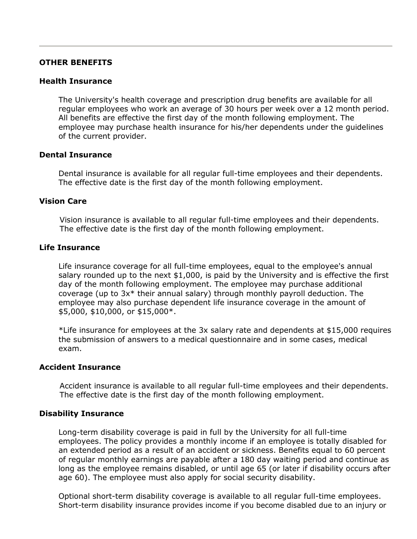#### **OTHER BENEFITS**

#### **Health Insurance**

The University's health coverage and prescription drug benefits are available for all regular employees who work an average of 30 hours per week over a 12 month period. All benefits are effective the first day of the month following employment. The employee may purchase health insurance for his/her dependents under the guidelines of the current provider.

#### **Dental Insurance**

Dental insurance is available for all regular full-time employees and their dependents. The effective date is the first day of the month following employment.

#### **Vision Care**

Vision insurance is available to all regular full-time employees and their dependents. The effective date is the first day of the month following employment.

# **Life Insurance**

Life insurance coverage for all full-time employees, equal to the employee's annual salary rounded up to the next \$1,000, is paid by the University and is effective the first day of the month following employment. The employee may purchase additional coverage (up to 3x\* their annual salary) through monthly payroll deduction. The employee may also purchase dependent life insurance coverage in the amount of \$5,000, \$10,000, or \$15,000\*.

\*Life insurance for employees at the 3x salary rate and dependents at \$15,000 requires the submission of answers to a medical questionnaire and in some cases, medical exam.

#### **Accident Insurance**

Accident insurance is available to all regular full-time employees and their dependents. The effective date is the first day of the month following employment.

#### **Disability Insurance**

Long-term disability coverage is paid in full by the University for all full-time employees. The policy provides a monthly income if an employee is totally disabled for an extended period as a result of an accident or sickness. Benefits equal to 60 percent of regular monthly earnings are payable after a 180 day waiting period and continue as long as the employee remains disabled, or until age 65 (or later if disability occurs after age 60). The employee must also apply for social security disability.

Optional short-term disability coverage is available to all regular full-time employees. Short-term disability insurance provides income if you become disabled due to an injury or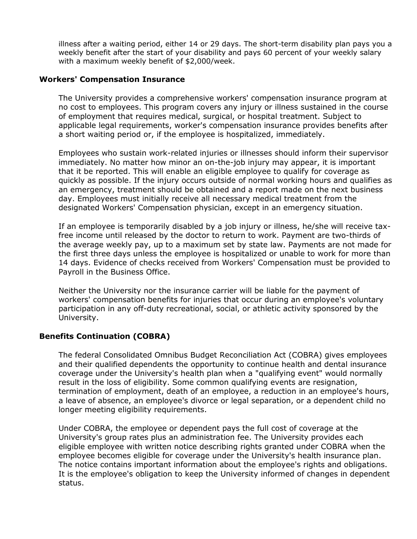illness after a waiting period, either 14 or 29 days. The short-term disability plan pays you a weekly benefit after the start of your disability and pays 60 percent of your weekly salary with a maximum weekly benefit of \$2,000/week.

## **Workers' Compensation Insurance**

The University provides a comprehensive workers' compensation insurance program at no cost to employees. This program covers any injury or illness sustained in the course of employment that requires medical, surgical, or hospital treatment. Subject to applicable legal requirements, worker's compensation insurance provides benefits after a short waiting period or, if the employee is hospitalized, immediately.

Employees who sustain work-related injuries or illnesses should inform their supervisor immediately. No matter how minor an on-the-job injury may appear, it is important that it be reported. This will enable an eligible employee to qualify for coverage as quickly as possible. If the injury occurs outside of normal working hours and qualifies as an emergency, treatment should be obtained and a report made on the next business day. Employees must initially receive all necessary medical treatment from the designated Workers' Compensation physician, except in an emergency situation.

If an employee is temporarily disabled by a job injury or illness, he/she will receive taxfree income until released by the doctor to return to work. Payment are two-thirds of the average weekly pay, up to a maximum set by state law. Payments are not made for the first three days unless the employee is hospitalized or unable to work for more than 14 days. Evidence of checks received from Workers' Compensation must be provided to Payroll in the Business Office.

Neither the University nor the insurance carrier will be liable for the payment of workers' compensation benefits for injuries that occur during an employee's voluntary participation in any off-duty recreational, social, or athletic activity sponsored by the University.

# **Benefits Continuation (COBRA)**

The federal Consolidated Omnibus Budget Reconciliation Act (COBRA) gives employees and their qualified dependents the opportunity to continue health and dental insurance coverage under the University's health plan when a "qualifying event" would normally result in the loss of eligibility. Some common qualifying events are resignation, termination of employment, death of an employee, a reduction in an employee's hours, a leave of absence, an employee's divorce or legal separation, or a dependent child no longer meeting eligibility requirements.

Under COBRA, the employee or dependent pays the full cost of coverage at the University's group rates plus an administration fee. The University provides each eligible employee with written notice describing rights granted under COBRA when the employee becomes eligible for coverage under the University's health insurance plan. The notice contains important information about the employee's rights and obligations. It is the employee's obligation to keep the University informed of changes in dependent status.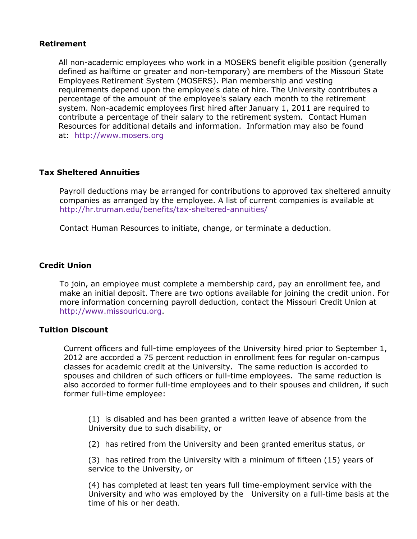## **Retirement**

All non-academic employees who work in a MOSERS benefit eligible position (generally defined as halftime or greater and non-temporary) are members of the Missouri State Employees Retirement System (MOSERS). Plan membership and vesting requirements depend upon the employee's date of hire. The University contributes a percentage of the amount of the employee's salary each month to the retirement system. Non-academic employees first hired after January 1, 2011 are required to contribute a percentage of their salary to the retirement system. Contact Human Resources for additional details and information. Information may also be found at: [http://www.mosers.org](http://www.mosers.org/)

# **Tax Sheltered Annuities**

Payroll deductions may be arranged for contributions to approved tax sheltered annuity companies as arranged by the employee. A list of current companies is available at <http://hr.truman.edu/benefits/tax-sheltered-annuities/>

Contact Human Resources to initiate, change, or terminate a deduction.

## **Credit Union**

To join, an employee must complete a membership card, pay an enrollment fee, and make an initial deposit. There are two options available for joining the credit union. For more information concerning payroll deduction, contact the Missouri Credit Union at [http://www.missouricu.org.](http://www.missouricu.org/)

## **Tuition Discount**

Current officers and full-time employees of the University hired prior to September 1, 2012 are accorded a 75 percent reduction in enrollment fees for regular on-campus classes for academic credit at the University. The same reduction is accorded to spouses and children of such officers or full-time employees. The same reduction is also accorded to former full-time employees and to their spouses and children, if such former full-time employee:

(1) is disabled and has been granted a written leave of absence from the University due to such disability, or

(2) has retired from the University and been granted emeritus status, or

(3) has retired from the University with a minimum of fifteen (15) years of service to the University, or

(4) has completed at least ten years full time-employment service with the University and who was employed by the University on a full-time basis at the time of his or her death.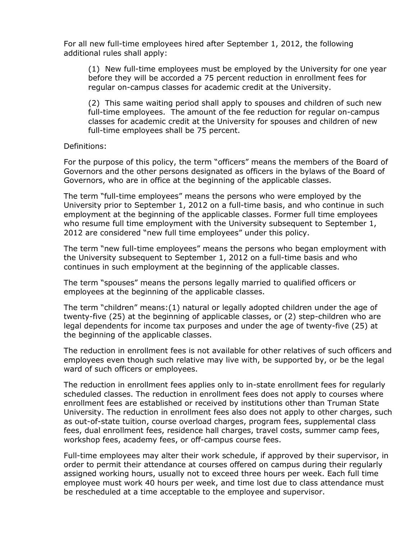For all new full-time employees hired after September 1, 2012, the following additional rules shall apply:

(1) New full-time employees must be employed by the University for one year before they will be accorded a 75 percent reduction in enrollment fees for regular on-campus classes for academic credit at the University.

(2) This same waiting period shall apply to spouses and children of such new full-time employees. The amount of the fee reduction for regular on-campus classes for academic credit at the University for spouses and children of new full-time employees shall be 75 percent.

## Definitions:

For the purpose of this policy, the term "officers" means the members of the Board of Governors and the other persons designated as officers in the bylaws of the Board of Governors, who are in office at the beginning of the applicable classes.

The term "full-time employees" means the persons who were employed by the University prior to September 1, 2012 on a full-time basis, and who continue in such employment at the beginning of the applicable classes. Former full time employees who resume full time employment with the University subsequent to September 1, 2012 are considered "new full time employees" under this policy.

The term "new full-time employees" means the persons who began employment with the University subsequent to September 1, 2012 on a full-time basis and who continues in such employment at the beginning of the applicable classes.

The term "spouses" means the persons legally married to qualified officers or employees at the beginning of the applicable classes.

The term "children" means:(1) natural or legally adopted children under the age of twenty-five (25) at the beginning of applicable classes, or (2) step-children who are legal dependents for income tax purposes and under the age of twenty-five (25) at the beginning of the applicable classes.

The reduction in enrollment fees is not available for other relatives of such officers and employees even though such relative may live with, be supported by, or be the legal ward of such officers or employees.

The reduction in enrollment fees applies only to in-state enrollment fees for regularly scheduled classes. The reduction in enrollment fees does not apply to courses where enrollment fees are established or received by institutions other than Truman State University. The reduction in enrollment fees also does not apply to other charges, such as out-of-state tuition, course overload charges, program fees, supplemental class fees, dual enrollment fees, residence hall charges, travel costs, summer camp fees, workshop fees, academy fees, or off-campus course fees.

Full-time employees may alter their work schedule, if approved by their supervisor, in order to permit their attendance at courses offered on campus during their regularly assigned working hours, usually not to exceed three hours per week. Each full time employee must work 40 hours per week, and time lost due to class attendance must be rescheduled at a time acceptable to the employee and supervisor.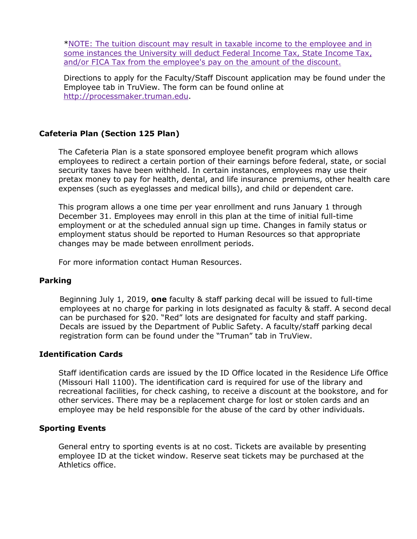[\\*NOTE: The tuition discount may result in taxable income to the employee and in](https://hr.truman.edu/files/2020/01/Taxation-Rules-for-Tuition-Reduction-Benefit.pdf)  [some instances the University will deduct Federal Income Tax, State Income Tax,](https://hr.truman.edu/files/2020/01/Taxation-Rules-for-Tuition-Reduction-Benefit.pdf)  [and/or FICA Tax from the employee's pay on the amount of the discount.](https://hr.truman.edu/files/2020/01/Taxation-Rules-for-Tuition-Reduction-Benefit.pdf)

Directions to apply for the Faculty/Staff Discount application may be found under the Employee tab in TruView. The form can be found online at [http://processmaker.truman.edu.](http://processmaker.truman.edu/)

# **Cafeteria Plan (Section 125 Plan)**

The Cafeteria Plan is a state sponsored employee benefit program which allows employees to redirect a certain portion of their earnings before federal, state, or social security taxes have been withheld. In certain instances, employees may use their pretax money to pay for health, dental, and life insurance premiums, other health care expenses (such as eyeglasses and medical bills), and child or dependent care.

This program allows a one time per year enrollment and runs January 1 through December 31. Employees may enroll in this plan at the time of initial full-time employment or at the scheduled annual sign up time. Changes in family status or employment status should be reported to Human Resources so that appropriate changes may be made between enrollment periods.

For more information contact Human Resources.

### **Parking**

Beginning July 1, 2019, **one** faculty & staff parking decal will be issued to full-time employees at no charge for parking in lots designated as faculty & staff. A second decal can be purchased for \$20. "Red" lots are designated for faculty and staff parking. Decals are issued by the Department of Public Safety. A faculty/staff parking decal registration form can be found under the "Truman" tab in TruView.

#### **Identification Cards**

Staff identification cards are issued by the ID Office located in the Residence Life Office (Missouri Hall 1100). The identification card is required for use of the library and recreational facilities, for check cashing, to receive a discount at the bookstore, and for other services. There may be a replacement charge for lost or stolen cards and an employee may be held responsible for the abuse of the card by other individuals.

#### **Sporting Events**

General entry to sporting events is at no cost. Tickets are available by presenting employee ID at the ticket window. Reserve seat tickets may be purchased at the Athletics office.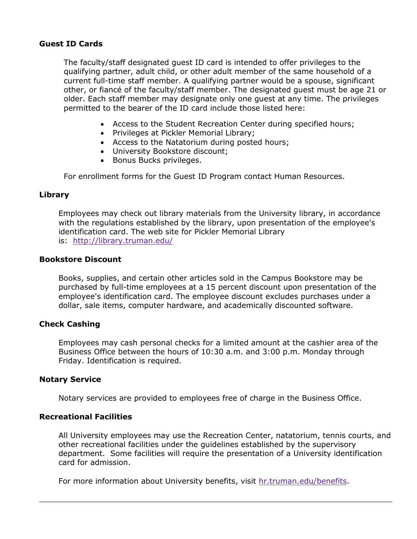### **Guest ID Cards**

The faculty/staff designated guest ID card is intended to offer privileges to the qualifying partner, adult child, or other adult member of the same household of a current full-time staff member. A qualifying partner would be a spouse, significant other, or fiancé of the faculty/staff member. The designated guest must be age 21 or older. Each staff member may designate only one guest at any time. The privileges permitted to the bearer of the ID card include those listed here:

- Access to the Student Recreation Center during specified hours;
- Privileges at Pickler Memorial Library;
- Access to the Natatorium during posted hours;
- University Bookstore discount;
- Bonus Bucks privileges.

For enrollment forms for the Guest ID Program contact Human Resources.

### **Library**

Employees may check out library materials from the University library, in accordance with the regulations established by the library, upon presentation of the employee's identification card. The web site for Pickler Memorial Library is: <http://library.truman.edu/>

#### **Bookstore Discount**

Books, supplies, and certain other articles sold in the Campus Bookstore may be purchased by full-time employees at a 15 percent discount upon presentation of the employee's identification card. The employee discount excludes purchases under a dollar, sale items, computer hardware, and academically discounted software.

### **Check Cashing**

Employees may cash personal checks for a limited amount at the cashier area of the Business Office between the hours of 10:30 a.m. and 3:00 p.m. Monday through Friday. Identification is required.

#### **Notary Service**

Notary services are provided to employees free of charge in the Business Office.

### **Recreational Facilities**

All University employees may use the Recreation Center, natatorium, tennis courts, and other recreational facilities under the guidelines established by the supervisory department. Some facilities will require the presentation of a University identification card for admission.

For more information about University benefits, visit [hr.truman.edu/benefits.](http://hr.truman.edu/benefits)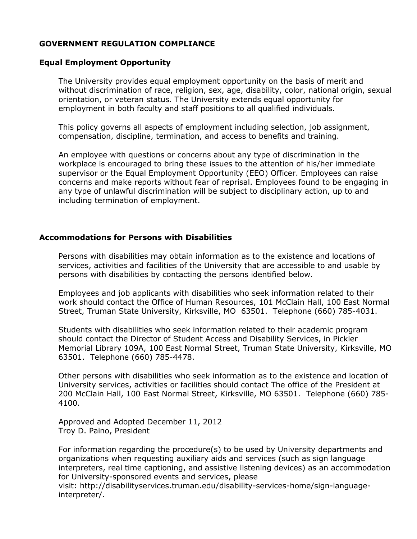## **GOVERNMENT REGULATION COMPLIANCE**

#### **Equal Employment Opportunity**

The University provides equal employment opportunity on the basis of merit and without discrimination of race, religion, sex, age, disability, color, national origin, sexual orientation, or veteran status. The University extends equal opportunity for employment in both faculty and staff positions to all qualified individuals.

This policy governs all aspects of employment including selection, job assignment, compensation, discipline, termination, and access to benefits and training.

An employee with questions or concerns about any type of discrimination in the workplace is encouraged to bring these issues to the attention of his/her immediate supervisor or the Equal Employment Opportunity (EEO) Officer. Employees can raise concerns and make reports without fear of reprisal. Employees found to be engaging in any type of unlawful discrimination will be subject to disciplinary action, up to and including termination of employment.

#### **Accommodations for Persons with Disabilities**

Persons with disabilities may obtain information as to the existence and locations of services, activities and facilities of the University that are accessible to and usable by persons with disabilities by contacting the persons identified below.

Employees and job applicants with disabilities who seek information related to their work should contact the Office of Human Resources, 101 McClain Hall, 100 East Normal Street, Truman State University, Kirksville, MO 63501. Telephone (660) 785-4031.

Students with disabilities who seek information related to their academic program should contact the Director of Student Access and Disability Services, in Pickler Memorial Library 109A, 100 East Normal Street, Truman State University, Kirksville, MO 63501. Telephone (660) 785-4478.

Other persons with disabilities who seek information as to the existence and location of University services, activities or facilities should contact The office of the President at 200 McClain Hall, 100 East Normal Street, Kirksville, MO 63501. Telephone (660) 785- 4100.

Approved and Adopted December 11, 2012 Troy D. Paino, President

For information regarding the procedure(s) to be used by University departments and organizations when requesting auxiliary aids and services (such as sign language interpreters, real time captioning, and assistive listening devices) as an accommodation for University-sponsored events and services, please

visit: http://disabilityservices.truman.edu/disability-services-home/sign-languageinterpreter/.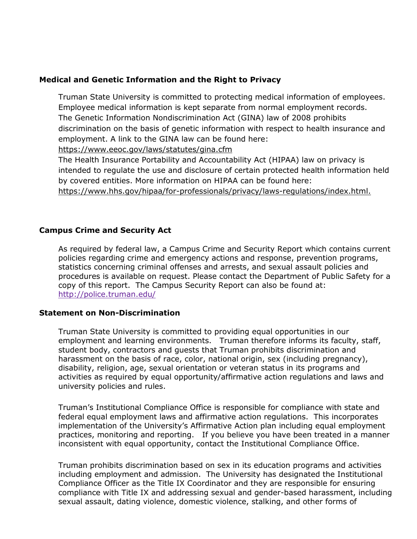# **Medical and Genetic Information and the Right to Privacy**

Truman State University is committed to protecting medical information of employees. Employee medical information is kept separate from normal employment records. The Genetic Information Nondiscrimination Act (GINA) law of 2008 prohibits discrimination on the basis of genetic information with respect to health insurance and employment. A link to the GINA law can be found here:

<https://www.eeoc.gov/laws/statutes/gina.cfm>

The Health Insurance Portability and Accountability Act (HIPAA) law on privacy is intended to regulate the use and disclosure of certain protected health information held by covered entities. More information on HIPAA can be found here: [https://www.hhs.gov/hipaa/for-professionals/privacy/laws-regulations/index.html.](https://www.hhs.gov/hipaa/for-professionals/privacy/laws-regulations/index.html)

# **Campus Crime and Security Act**

As required by federal law, a Campus Crime and Security Report which contains current policies regarding crime and emergency actions and response, prevention programs, statistics concerning criminal offenses and arrests, and sexual assault policies and procedures is available on request. Please contact the Department of Public Safety for a copy of this report. The Campus Security Report can also be found at: <http://police.truman.edu/>

# **Statement on Non-Discrimination**

Truman State University is committed to providing equal opportunities in our employment and learning environments. Truman therefore informs its faculty, staff, student body, contractors and guests that Truman prohibits discrimination and harassment on the basis of race, color, national origin, sex (including pregnancy), disability, religion, age, sexual orientation or veteran status in its programs and activities as required by equal opportunity/affirmative action regulations and laws and university policies and rules.

Truman's Institutional Compliance Office is responsible for compliance with state and federal equal employment laws and affirmative action regulations. This incorporates implementation of the University's Affirmative Action plan including equal employment practices, monitoring and reporting. If you believe you have been treated in a manner inconsistent with equal opportunity, contact the Institutional Compliance Office.

Truman prohibits discrimination based on sex in its education programs and activities including employment and admission. The University has designated the Institutional Compliance Officer as the Title IX Coordinator and they are responsible for ensuring compliance with Title IX and addressing sexual and gender-based harassment, including sexual assault, dating violence, domestic violence, stalking, and other forms of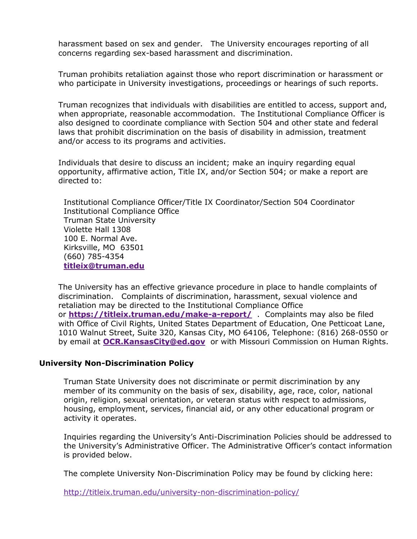harassment based on sex and gender. The University encourages reporting of all concerns regarding sex-based harassment and discrimination.

Truman prohibits retaliation against those who report discrimination or harassment or who participate in University investigations, proceedings or hearings of such reports.

Truman recognizes that individuals with disabilities are entitled to access, support and, when appropriate, reasonable accommodation. The Institutional Compliance Officer is also designed to coordinate compliance with Section 504 and other state and federal laws that prohibit discrimination on the basis of disability in admission, treatment and/or access to its programs and activities.

Individuals that desire to discuss an incident; make an inquiry regarding equal opportunity, affirmative action, Title IX, and/or Section 504; or make a report are directed to:

Institutional Compliance Officer/Title IX Coordinator/Section 504 Coordinator Institutional Compliance Office Truman State University Violette Hall 1308 100 E. Normal Ave. Kirksville, MO 63501 (660) 785-4354 **[titleix@truman.edu](mailto:titleix@truman.edu)**

The University has an effective grievance procedure in place to handle complaints of discrimination. Complaints of discrimination, harassment, sexual violence and retaliation may be directed to the Institutional Compliance Office or **<https://titleix.truman.edu/make-a-report/>** . Complaints may also be filed with Office of Civil Rights, United States Department of Education, One Petticoat Lane, 1010 Walnut Street, Suite 320, Kansas City, MO 64106, Telephone: (816) 268-0550 or by email at **[OCR.KansasCity@ed.gov](mailto:OCR.KansasCity@ed.gov)** or with Missouri Commission on Human Rights.

### **University Non-Discrimination Policy**

Truman State University does not discriminate or permit discrimination by any member of its community on the basis of sex, disability, age, race, color, national origin, religion, sexual orientation, or veteran status with respect to admissions, housing, employment, services, financial aid, or any other educational program or activity it operates.

Inquiries regarding the University's Anti-Discrimination Policies should be addressed to the University's Administrative Officer. The Administrative Officer's contact information is provided below.

The complete University Non-Discrimination Policy may be found by clicking here:

<http://titleix.truman.edu/university-non-discrimination-policy/>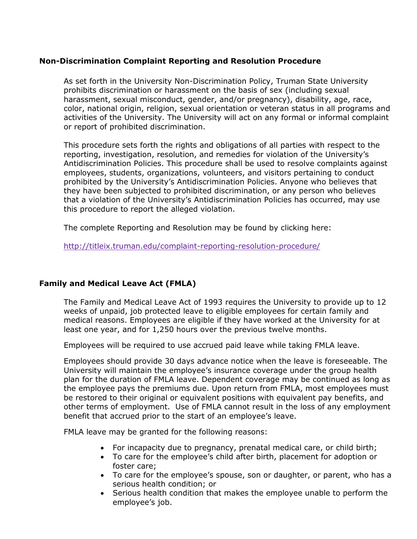## **Non-Discrimination Complaint Reporting and Resolution Procedure**

As set forth in the University Non-Discrimination Policy, Truman State University prohibits discrimination or harassment on the basis of sex (including sexual harassment, sexual misconduct, gender, and/or pregnancy), disability, age, race, color, national origin, religion, sexual orientation or veteran status in all programs and activities of the University. The University will act on any formal or informal complaint or report of prohibited discrimination.

This procedure sets forth the rights and obligations of all parties with respect to the reporting, investigation, resolution, and remedies for violation of the University's Antidiscrimination Policies. This procedure shall be used to resolve complaints against employees, students, organizations, volunteers, and visitors pertaining to conduct prohibited by the University's Antidiscrimination Policies. Anyone who believes that they have been subjected to prohibited discrimination, or any person who believes that a violation of the University's Antidiscrimination Policies has occurred, may use this procedure to report the alleged violation.

The complete Reporting and Resolution may be found by clicking here:

<http://titleix.truman.edu/complaint-reporting-resolution-procedure/>

# **Family and Medical Leave Act (FMLA)**

The Family and Medical Leave Act of 1993 requires the University to provide up to 12 weeks of unpaid, job protected leave to eligible employees for certain family and medical reasons. Employees are eligible if they have worked at the University for at least one year, and for 1,250 hours over the previous twelve months.

Employees will be required to use accrued paid leave while taking FMLA leave.

Employees should provide 30 days advance notice when the leave is foreseeable. The University will maintain the employee's insurance coverage under the group health plan for the duration of FMLA leave. Dependent coverage may be continued as long as the employee pays the premiums due. Upon return from FMLA, most employees must be restored to their original or equivalent positions with equivalent pay benefits, and other terms of employment. Use of FMLA cannot result in the loss of any employment benefit that accrued prior to the start of an employee's leave.

FMLA leave may be granted for the following reasons:

- For incapacity due to pregnancy, prenatal medical care, or child birth;
- To care for the employee's child after birth, placement for adoption or foster care;
- To care for the employee's spouse, son or daughter, or parent, who has a serious health condition; or
- Serious health condition that makes the employee unable to perform the employee's job.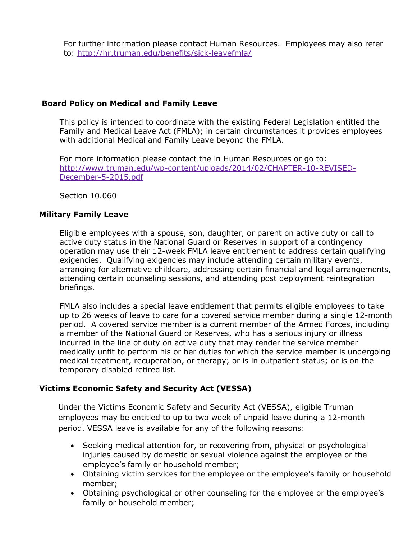For further information please contact Human Resources. Employees may also refer to: <http://hr.truman.edu/benefits/sick-leavefmla/>

# **Board Policy on Medical and Family Leave**

This policy is intended to coordinate with the existing Federal Legislation entitled the Family and Medical Leave Act (FMLA); in certain circumstances it provides employees with additional Medical and Family Leave beyond the FMLA.

For more information please contact the in Human Resources or go to: [http://www.truman.edu/wp-content/uploads/2014/02/CHAPTER-10-REVISED-](http://www.truman.edu/wp-content/uploads/2014/02/CHAPTER-10-REVISED-December-5-2015.pdf)[December-5-2015.pdf](http://www.truman.edu/wp-content/uploads/2014/02/CHAPTER-10-REVISED-December-5-2015.pdf)

Section 10.060

# **Military Family Leave**

Eligible employees with a spouse, son, daughter, or parent on active duty or call to active duty status in the National Guard or Reserves in support of a contingency operation may use their 12-week FMLA leave entitlement to address certain qualifying exigencies. Qualifying exigencies may include attending certain military events, arranging for alternative childcare, addressing certain financial and legal arrangements, attending certain counseling sessions, and attending post deployment reintegration briefings.

FMLA also includes a special leave entitlement that permits eligible employees to take up to 26 weeks of leave to care for a covered service member during a single 12-month period. A covered service member is a current member of the Armed Forces, including a member of the National Guard or Reserves, who has a serious injury or illness incurred in the line of duty on active duty that may render the service member medically unfit to perform his or her duties for which the service member is undergoing medical treatment, recuperation, or therapy; or is in outpatient status; or is on the temporary disabled retired list.

# **Victims Economic Safety and Security Act (VESSA)**

Under the Victims Economic Safety and Security Act (VESSA), eligible Truman employees may be entitled to up to two week of unpaid leave during a 12-month period. VESSA leave is available for any of the following reasons:

- Seeking medical attention for, or recovering from, physical or psychological injuries caused by domestic or sexual violence against the employee or the employee's family or household member;
- Obtaining victim services for the employee or the employee's family or household member;
- Obtaining psychological or other counseling for the employee or the employee's family or household member;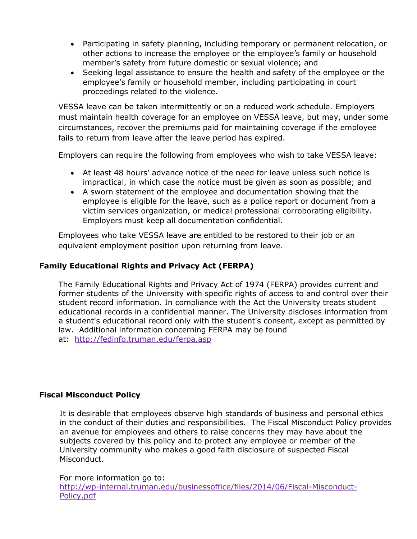- Participating in safety planning, including temporary or permanent relocation, or other actions to increase the employee or the employee's family or household member's safety from future domestic or sexual violence; and
- Seeking legal assistance to ensure the health and safety of the employee or the employee's family or household member, including participating in court proceedings related to the violence.

VESSA leave can be taken intermittently or on a reduced work schedule. Employers must maintain health coverage for an employee on VESSA leave, but may, under some circumstances, recover the premiums paid for maintaining coverage if the employee fails to return from leave after the leave period has expired.

Employers can require the following from employees who wish to take VESSA leave:

- At least 48 hours' advance notice of the need for leave unless such notice is impractical, in which case the notice must be given as soon as possible; and
- A sworn statement of the employee and documentation showing that the employee is eligible for the leave, such as a police report or document from a victim services organization, or medical professional corroborating eligibility. Employers must keep all documentation confidential.

Employees who take VESSA leave are entitled to be restored to their job or an equivalent employment position upon returning from leave.

# **Family Educational Rights and Privacy Act (FERPA)**

The Family Educational Rights and Privacy Act of 1974 (FERPA) provides current and former students of the University with specific rights of access to and control over their student record information. In compliance with the Act the University treats student educational records in a confidential manner. The University discloses information from a student's educational record only with the student's consent, except as permitted by law. Additional information concerning FERPA may be found at: <http://fedinfo.truman.edu/ferpa.asp>

# **Fiscal Misconduct Policy**

It is desirable that employees observe high standards of business and personal ethics in the conduct of their duties and responsibilities. The Fiscal Misconduct Policy provides an avenue for employees and others to raise concerns they may have about the subjects covered by this policy and to protect any employee or member of the University community who makes a good faith disclosure of suspected Fiscal Misconduct.

For more information go to:

[http://wp-internal.truman.edu/businessoffice/files/2014/06/Fiscal-Misconduct-](http://wp-internal.truman.edu/businessoffice/files/2014/06/Fiscal-Misconduct-Policy.pdf)[Policy.pdf](http://wp-internal.truman.edu/businessoffice/files/2014/06/Fiscal-Misconduct-Policy.pdf)